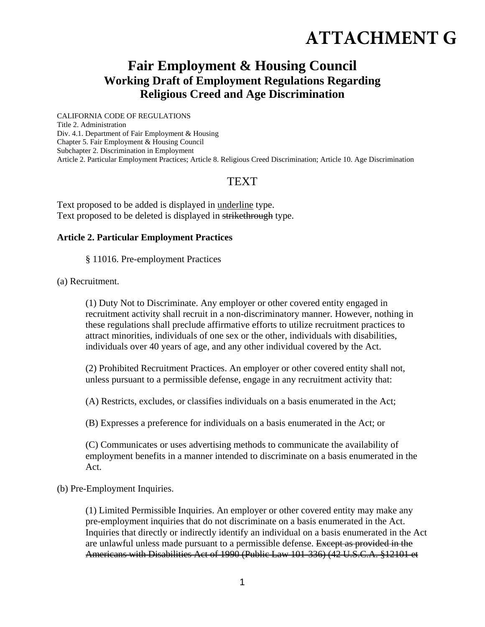# **ATTACHMENT G**

## **Fair Employment & Housing Council Working Draft of Employment Regulations Regarding Religious Creed and Age Discrimination**

CALIFORNIA CODE OF REGULATIONS Title 2. Administration Div. 4.1. Department of Fair Employment & Housing Chapter 5. Fair Employment & Housing Council Subchapter 2. Discrimination in Employment Article 2. Particular Employment Practices; Article 8. Religious Creed Discrimination; Article 10. Age Discrimination

### TEXT

Text proposed to be added is displayed in underline type. Text proposed to be deleted is displayed in strikethrough type.

#### **Article 2. Particular Employment Practices**

§ 11016. Pre-employment Practices

(a) Recruitment.

(1) Duty Not to Discriminate. Any employer or other covered entity engaged in recruitment activity shall recruit in a non-discriminatory manner. However, nothing in these regulations shall preclude affirmative efforts to utilize recruitment practices to attract minorities, individuals of one sex or the other, individuals with disabilities, individuals over 40 years of age, and any other individual covered by the Act.

(2) Prohibited Recruitment Practices. An employer or other covered entity shall not, unless pursuant to a permissible defense, engage in any recruitment activity that:

(A) Restricts, excludes, or classifies individuals on a basis enumerated in the Act;

(B) Expresses a preference for individuals on a basis enumerated in the Act; or

(C) Communicates or uses advertising methods to communicate the availability of employment benefits in a manner intended to discriminate on a basis enumerated in the Act.

(b) Pre-Employment Inquiries.

(1) Limited Permissible Inquiries. An employer or other covered entity may make any pre-employment inquiries that do not discriminate on a basis enumerated in the Act. Inquiries that directly or indirectly identify an individual on a basis enumerated in the Act are unlawful unless made pursuant to a permissible defense. Except as provided in the Americans with Disabilities Act of 1990 (Public Law 101-336) (42 U.S.C.A. §12101 et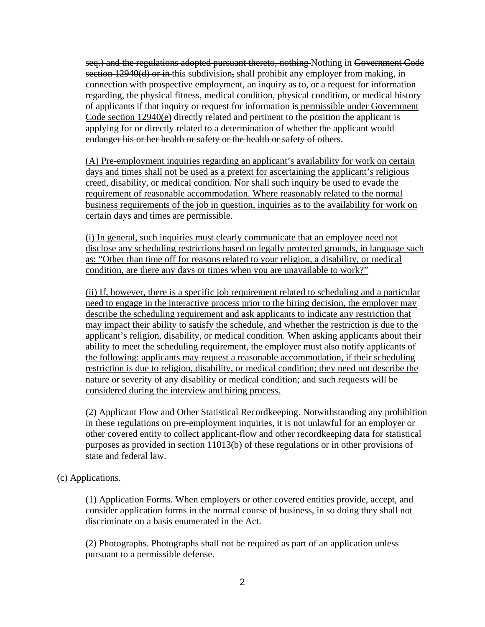seq.) and the regulations adopted pursuant thereto, nothing Nothing in Government Code section 12940(d) or in this subdivision, shall prohibit any employer from making, in connection with prospective employment, an inquiry as to, or a request for information regarding, the physical fitness, medical condition, physical condition, or medical history of applicants if that inquiry or request for information is permissible under Government Code section 12940(e) directly related and pertinent to the position the applicant is applying for or directly related to a determination of whether the applicant would endanger his or her health or safety or the health or safety of others.

(A) Pre-employment inquiries regarding an applicant's availability for work on certain days and times shall not be used as a pretext for ascertaining the applicant's religious creed, disability, or medical condition. Nor shall such inquiry be used to evade the requirement of reasonable accommodation. Where reasonably related to the normal business requirements of the job in question, inquiries as to the availability for work on certain days and times are permissible.

(i) In general, such inquiries must clearly communicate that an employee need not disclose any scheduling restrictions based on legally protected grounds, in language such as: "Other than time off for reasons related to your religion, a disability, or medical condition, are there any days or times when you are unavailable to work?"

(ii) If, however, there is a specific job requirement related to scheduling and a particular need to engage in the interactive process prior to the hiring decision, the employer may describe the scheduling requirement and ask applicants to indicate any restriction that may impact their ability to satisfy the schedule, and whether the restriction is due to the applicant's religion, disability, or medical condition. When asking applicants about their ability to meet the scheduling requirement, the employer must also notify applicants of the following: applicants may request a reasonable accommodation, if their scheduling restriction is due to religion, disability, or medical condition; they need not describe the nature or severity of any disability or medical condition; and such requests will be considered during the interview and hiring process.

(2) Applicant Flow and Other Statistical Recordkeeping. Notwithstanding any prohibition in these regulations on pre-employment inquiries, it is not unlawful for an employer or other covered entity to collect applicant-flow and other recordkeeping data for statistical purposes as provided in section 11013(b) of these regulations or in other provisions of state and federal law.

(c) Applications.

(1) Application Forms. When employers or other covered entities provide, accept, and consider application forms in the normal course of business, in so doing they shall not discriminate on a basis enumerated in the Act.

(2) Photographs. Photographs shall not be required as part of an application unless pursuant to a permissible defense.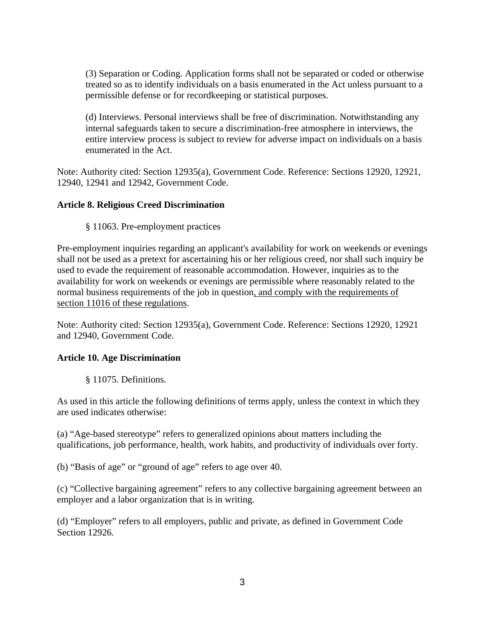(3) Separation or Coding. Application forms shall not be separated or coded or otherwise treated so as to identify individuals on a basis enumerated in the Act unless pursuant to a permissible defense or for recordkeeping or statistical purposes.

(d) Interviews. Personal interviews shall be free of discrimination. Notwithstanding any internal safeguards taken to secure a discrimination-free atmosphere in interviews, the entire interview process is subject to review for adverse impact on individuals on a basis enumerated in the Act.

Note: Authority cited: Section 12935(a), Government Code. Reference: Sections 12920, 12921, 12940, 12941 and 12942, Government Code.

#### **Article 8. Religious Creed Discrimination**

§ 11063. Pre-employment practices

Pre-employment inquiries regarding an applicant's availability for work on weekends or evenings shall not be used as a pretext for ascertaining his or her religious creed, nor shall such inquiry be used to evade the requirement of reasonable accommodation. However, inquiries as to the availability for work on weekends or evenings are permissible where reasonably related to the normal business requirements of the job in question, and comply with the requirements of section 11016 of these regulations.

Note: Authority cited: Section 12935(a), Government Code. Reference: Sections 12920, 12921 and 12940, Government Code.

#### **Article 10. Age Discrimination**

§ 11075. Definitions.

As used in this article the following definitions of terms apply, unless the context in which they are used indicates otherwise:

(a) "Age-based stereotype" refers to generalized opinions about matters including the qualifications, job performance, health, work habits, and productivity of individuals over forty.

(b) "Basis of age" or "ground of age" refers to age over 40.

(c) "Collective bargaining agreement" refers to any collective bargaining agreement between an employer and a labor organization that is in writing.

(d) "Employer" refers to all employers, public and private, as defined in Government Code Section 12926.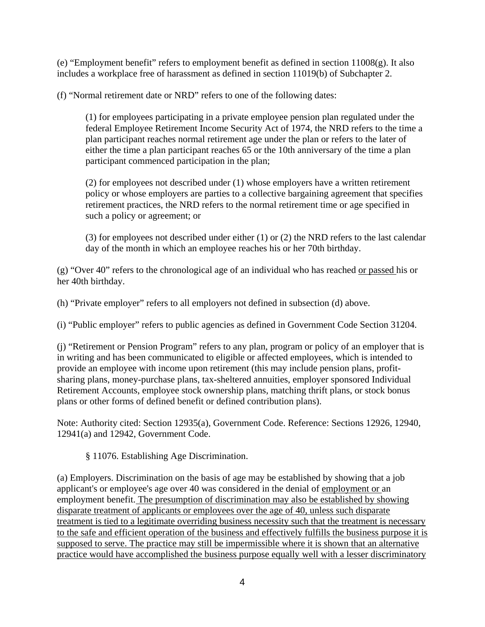(e) "Employment benefit" refers to employment benefit as defined in section  $11008(g)$ . It also includes a workplace free of harassment as defined in section 11019(b) of Subchapter 2.

(f) "Normal retirement date or NRD" refers to one of the following dates:

(1) for employees participating in a private employee pension plan regulated under the federal Employee Retirement Income Security Act of 1974, the NRD refers to the time a plan participant reaches normal retirement age under the plan or refers to the later of either the time a plan participant reaches 65 or the 10th anniversary of the time a plan participant commenced participation in the plan;

(2) for employees not described under (1) whose employers have a written retirement policy or whose employers are parties to a collective bargaining agreement that specifies retirement practices, the NRD refers to the normal retirement time or age specified in such a policy or agreement; or

(3) for employees not described under either (1) or (2) the NRD refers to the last calendar day of the month in which an employee reaches his or her 70th birthday.

(g) "Over 40" refers to the chronological age of an individual who has reached or passed his or her 40th birthday.

(h) "Private employer" refers to all employers not defined in subsection (d) above.

(i) "Public employer" refers to public agencies as defined in Government Code Section 31204.

(j) "Retirement or Pension Program" refers to any plan, program or policy of an employer that is in writing and has been communicated to eligible or affected employees, which is intended to provide an employee with income upon retirement (this may include pension plans, profitsharing plans, money-purchase plans, tax-sheltered annuities, employer sponsored Individual Retirement Accounts, employee stock ownership plans, matching thrift plans, or stock bonus plans or other forms of defined benefit or defined contribution plans).

Note: Authority cited: Section 12935(a), Government Code. Reference: Sections 12926, 12940, 12941(a) and 12942, Government Code.

§ 11076. Establishing Age Discrimination.

(a) Employers. Discrimination on the basis of age may be established by showing that a job applicant's or employee's age over 40 was considered in the denial of employment or an employment benefit. The presumption of discrimination may also be established by showing disparate treatment of applicants or employees over the age of 40, unless such disparate treatment is tied to a legitimate overriding business necessity such that the treatment is necessary to the safe and efficient operation of the business and effectively fulfills the business purpose it is supposed to serve. The practice may still be impermissible where it is shown that an alternative practice would have accomplished the business purpose equally well with a lesser discriminatory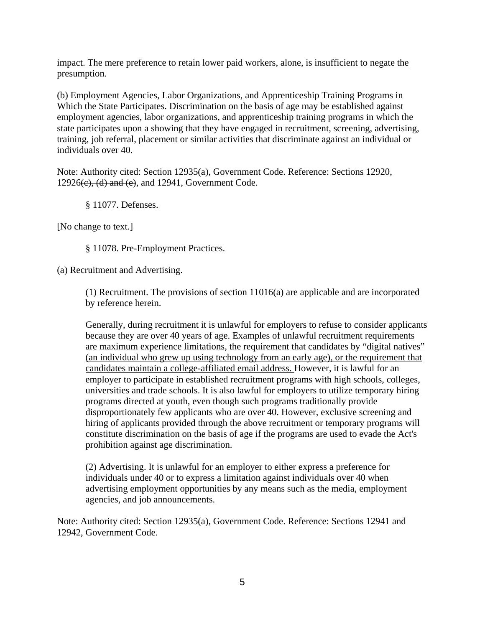impact. The mere preference to retain lower paid workers, alone, is insufficient to negate the presumption.

(b) Employment Agencies, Labor Organizations, and Apprenticeship Training Programs in Which the State Participates. Discrimination on the basis of age may be established against employment agencies, labor organizations, and apprenticeship training programs in which the state participates upon a showing that they have engaged in recruitment, screening, advertising, training, job referral, placement or similar activities that discriminate against an individual or individuals over 40.

Note: Authority cited: Section 12935(a), Government Code. Reference: Sections 12920,  $12926(e)$ , (d) and (e), and  $12941$ , Government Code.

§ 11077. Defenses.

[No change to text.]

§ 11078. Pre-Employment Practices.

(a) Recruitment and Advertising.

(1) Recruitment. The provisions of section 11016(a) are applicable and are incorporated by reference herein.

Generally, during recruitment it is unlawful for employers to refuse to consider applicants because they are over 40 years of age. Examples of unlawful recruitment requirements are maximum experience limitations, the requirement that candidates by "digital natives" (an individual who grew up using technology from an early age), or the requirement that candidates maintain a college-affiliated email address. However, it is lawful for an employer to participate in established recruitment programs with high schools, colleges, universities and trade schools. It is also lawful for employers to utilize temporary hiring programs directed at youth, even though such programs traditionally provide disproportionately few applicants who are over 40. However, exclusive screening and hiring of applicants provided through the above recruitment or temporary programs will constitute discrimination on the basis of age if the programs are used to evade the Act's prohibition against age discrimination.

(2) Advertising. It is unlawful for an employer to either express a preference for individuals under 40 or to express a limitation against individuals over 40 when advertising employment opportunities by any means such as the media, employment agencies, and job announcements.

Note: Authority cited: Section 12935(a), Government Code. Reference: Sections 12941 and 12942, Government Code.